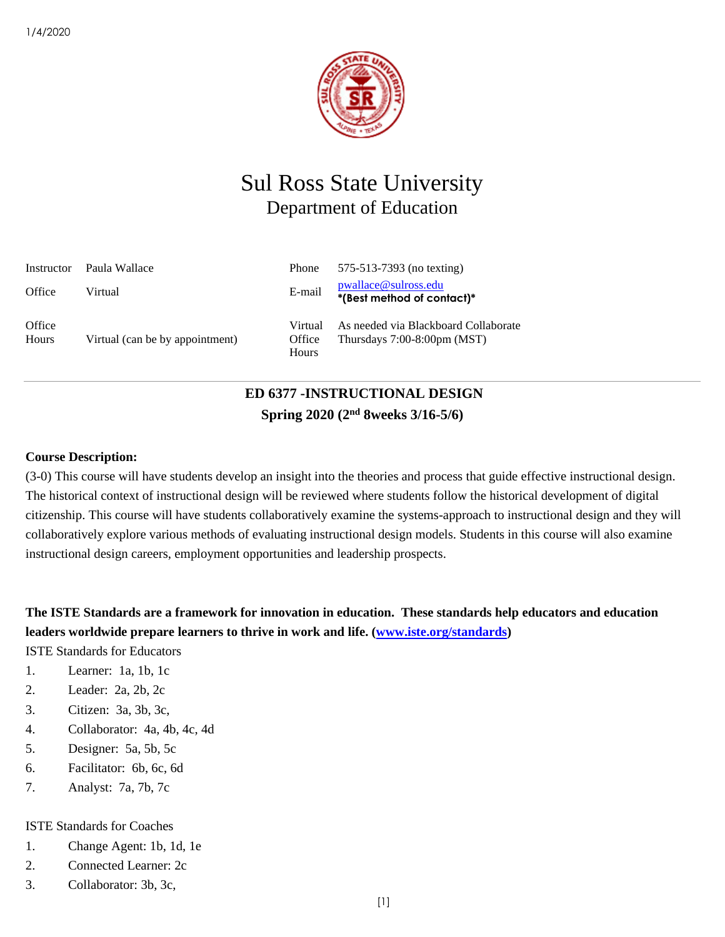

# Sul Ross State University Department of Education

| Instructor      | Paula Wallace                   | Phone                      | 575-513-7393 (no texting)                                                     |
|-----------------|---------------------------------|----------------------------|-------------------------------------------------------------------------------|
| Office          | Virtual                         | E-mail                     | pwallace@sulross.edu<br>*(Best method of contact)*                            |
| Office<br>Hours | Virtual (can be by appointment) | Virtual<br>Office<br>Hours | As needed via Blackboard Collaborate<br>Thursdays $7:00-8:00 \text{pm}$ (MST) |

# **ED 6377 -INSTRUCTIONAL DESIGN Spring 2020 (2 nd 8weeks 3/16-5/6)**

### **Course Description:**

(3-0) This course will have students develop an insight into the theories and process that guide effective instructional design. The historical context of instructional design will be reviewed where students follow the historical development of digital citizenship. This course will have students collaboratively examine the systems-approach to instructional design and they will collaboratively explore various methods of evaluating instructional design models. Students in this course will also examine instructional design careers, employment opportunities and leadership prospects.

**The ISTE Standards are a framework for innovation in education. These standards help educators and education leaders worldwide prepare learners to thrive in work and life. [\(www.iste.org/standards\)](http://www.iste.org/standards)**

ISTE Standards for Educators

- 1. Learner: 1a, 1b, 1c
- 2. Leader: 2a, 2b, 2c
- 3. Citizen: 3a, 3b, 3c,
- 4. Collaborator: 4a, 4b, 4c, 4d
- 5. Designer: 5a, 5b, 5c
- 6. Facilitator: 6b, 6c, 6d
- 7. Analyst: 7a, 7b, 7c

### ISTE Standards for Coaches

- 1. Change Agent: 1b, 1d, 1e
- 2. Connected Learner: 2c
- 3. Collaborator: 3b, 3c,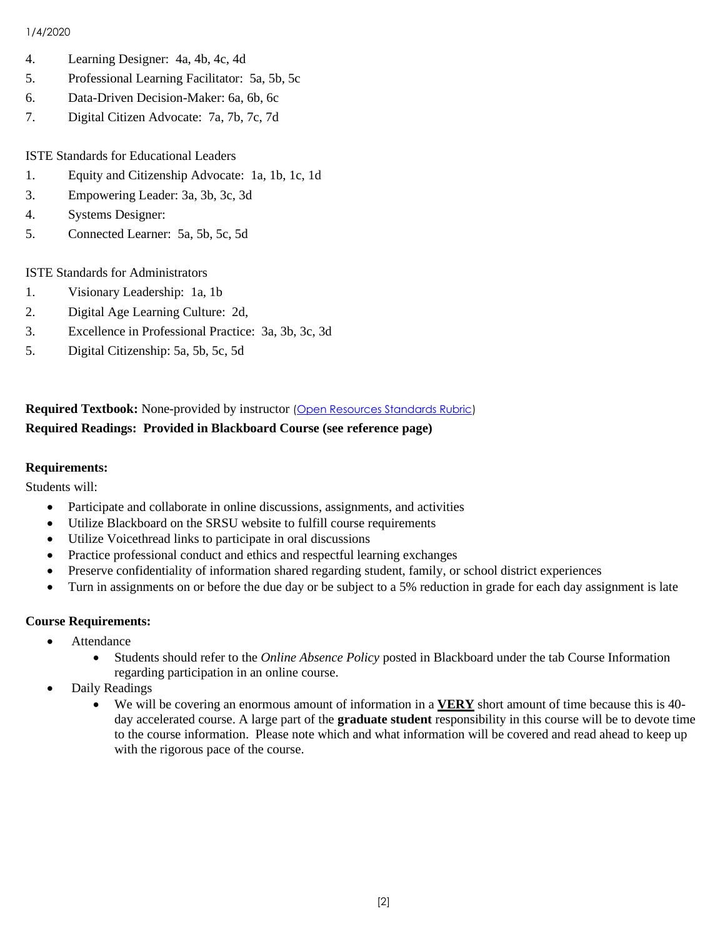- 4. Learning Designer: 4a, 4b, 4c, 4d
- 5. Professional Learning Facilitator: 5a, 5b, 5c
- 6. Data-Driven Decision-Maker: 6a, 6b, 6c
- 7. Digital Citizen Advocate: 7a, 7b, 7c, 7d

ISTE Standards for Educational Leaders

- 1. Equity and Citizenship Advocate: 1a, 1b, 1c, 1d
- 3. Empowering Leader: 3a, 3b, 3c, 3d
- 4. Systems Designer:
- 5. Connected Learner: 5a, 5b, 5c, 5d

ISTE Standards for Administrators

- 1. Visionary Leadership: 1a, 1b
- 2. Digital Age Learning Culture: 2d,
- 3. Excellence in Professional Practice: 3a, 3b, 3c, 3d
- 5. Digital Citizenship: 5a, 5b, 5c, 5d

### **Required Textbook:** None-provided by instructor [\(Open Resources Standards Rubric\)](https://www.achieve.org/files/AchieveOERRubrics.pdf) **Required Readings: Provided in Blackboard Course (see reference page)**

### **Requirements:**

Students will:

- Participate and collaborate in online discussions, assignments, and activities
- Utilize Blackboard on the SRSU website to fulfill course requirements
- Utilize Voicethread links to participate in oral discussions
- Practice professional conduct and ethics and respectful learning exchanges
- Preserve confidentiality of information shared regarding student, family, or school district experiences
- Turn in assignments on or before the due day or be subject to a 5% reduction in grade for each day assignment is late

### **Course Requirements:**

- Attendance
	- Students should refer to the *Online Absence Policy* posted in Blackboard under the tab Course Information regarding participation in an online course.
- Daily Readings
	- We will be covering an enormous amount of information in a **VERY** short amount of time because this is 40 day accelerated course. A large part of the **graduate student** responsibility in this course will be to devote time to the course information. Please note which and what information will be covered and read ahead to keep up with the rigorous pace of the course.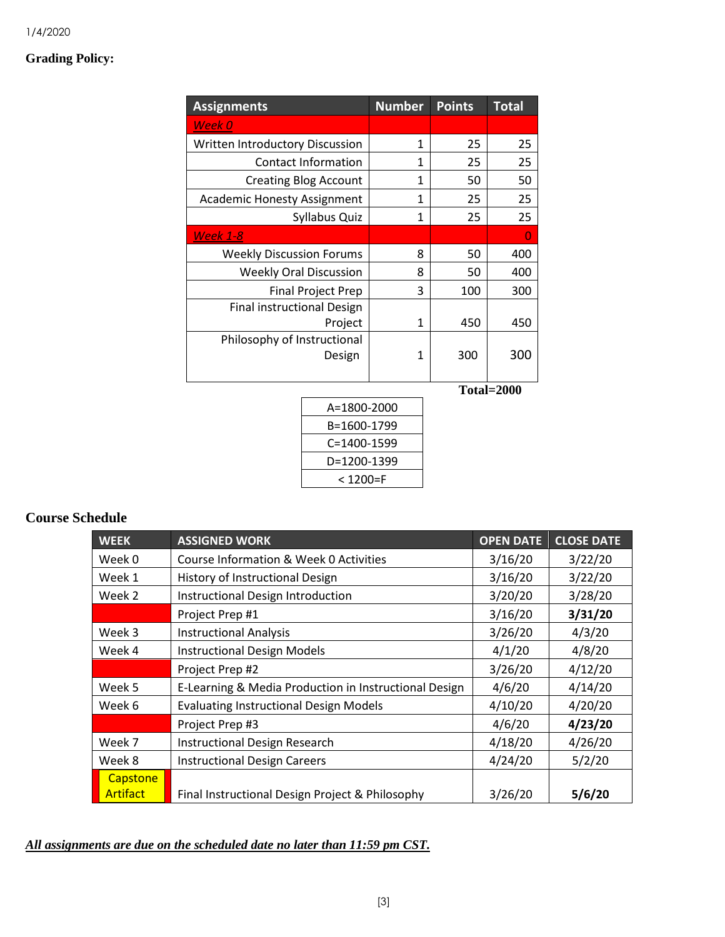### **Grading Policy:**

| <b>Assignments</b>                 | <b>Number</b> | <b>Points</b> | <b>Total</b> |
|------------------------------------|---------------|---------------|--------------|
| Week 0                             |               |               |              |
| Written Introductory Discussion    | 1             | 25            | 25           |
| <b>Contact Information</b>         | 1             | 25            | 25           |
| <b>Creating Blog Account</b>       | 1             | 50            | 50           |
| <b>Academic Honesty Assignment</b> | 1             | 25            | 25           |
| Syllabus Quiz                      | 1             | 25            | 25           |
| <b>Week 1-8</b>                    |               |               | 0            |
| <b>Weekly Discussion Forums</b>    | 8             | 50            | 400          |
| <b>Weekly Oral Discussion</b>      | 8             | 50            | 400          |
| <b>Final Project Prep</b>          | 3             | 100           | 300          |
| <b>Final instructional Design</b>  |               |               |              |
| Project                            | 1             | 450           | 450          |
| Philosophy of Instructional        |               |               |              |
| Design                             | 1             | 300           | 300          |
|                                    |               |               |              |
|                                    |               |               | Total=2000   |
| A=1800-2000                        |               |               |              |
| B=1600-1799                        |               |               |              |

| A=1800-2000 |  |
|-------------|--|
| B=1600-1799 |  |
| C=1400-1599 |  |
| D=1200-1399 |  |
| < 1200=F    |  |

# **Course Schedule**

| <b>WEEK</b>                                    | <b>ASSIGNED WORK</b>                                  | <b>OPEN DATE</b> | <b>CLOSE DATE</b> |
|------------------------------------------------|-------------------------------------------------------|------------------|-------------------|
| Week 0                                         | Course Information & Week 0 Activities                | 3/16/20          | 3/22/20           |
| Week 1                                         | History of Instructional Design                       | 3/16/20          | 3/22/20           |
| Week 2                                         | Instructional Design Introduction                     | 3/20/20          | 3/28/20           |
|                                                | Project Prep #1                                       | 3/16/20          | 3/31/20           |
| Week 3                                         | <b>Instructional Analysis</b>                         |                  | 4/3/20            |
| Week 4                                         | <b>Instructional Design Models</b>                    | 4/1/20           | 4/8/20            |
|                                                | Project Prep #2                                       | 3/26/20          | 4/12/20           |
| Week 5                                         | E-Learning & Media Production in Instructional Design |                  | 4/14/20           |
| Week 6                                         | <b>Evaluating Instructional Design Models</b>         | 4/10/20          | 4/20/20           |
|                                                | Project Prep #3                                       | 4/6/20           | 4/23/20           |
| Week 7<br><b>Instructional Design Research</b> |                                                       | 4/18/20          | 4/26/20           |
| Week 8                                         | <b>Instructional Design Careers</b>                   | 4/24/20          | 5/2/20            |
| Capstone                                       |                                                       |                  |                   |
| <b>Artifact</b>                                | Final Instructional Design Project & Philosophy       | 3/26/20          | 5/6/20            |

### *All assignments are due on the scheduled date no later than 11:59 pm CST.*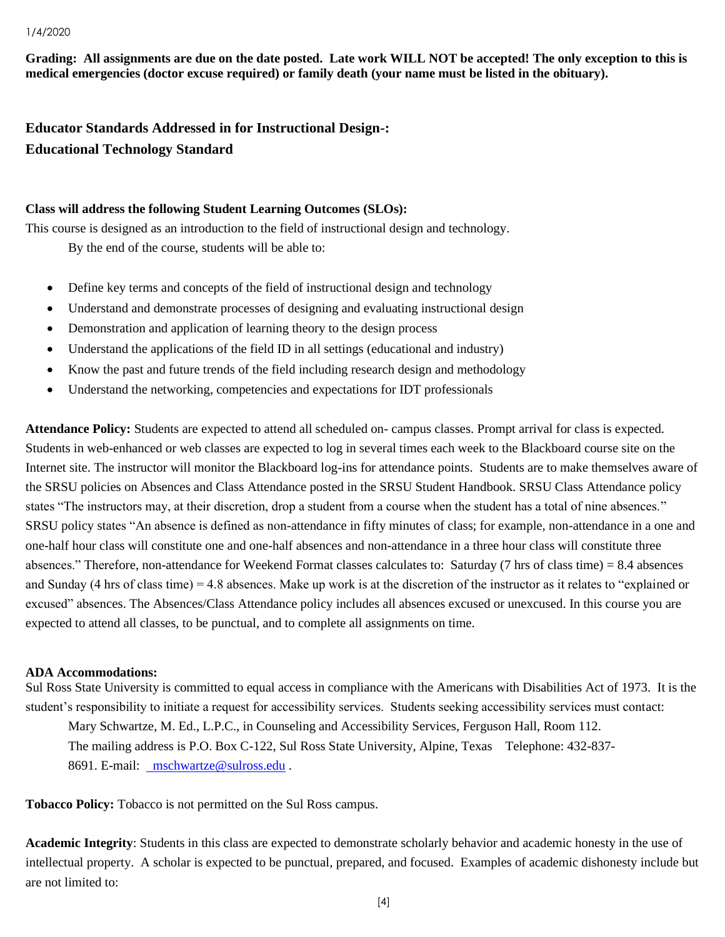**Grading: All assignments are due on the date posted. Late work WILL NOT be accepted! The only exception to this is medical emergencies (doctor excuse required) or family death (your name must be listed in the obituary).** 

**Educator Standards Addressed in for Instructional Design-: Educational Technology Standard**

### **Class will address the following Student Learning Outcomes (SLOs):**

This course is designed as an introduction to the field of instructional design and technology. By the end of the course, students will be able to:

- Define key terms and concepts of the field of instructional design and technology
- Understand and demonstrate processes of designing and evaluating instructional design
- Demonstration and application of learning theory to the design process
- Understand the applications of the field ID in all settings (educational and industry)
- Know the past and future trends of the field including research design and methodology
- Understand the networking, competencies and expectations for IDT professionals

**Attendance Policy:** Students are expected to attend all scheduled on- campus classes. Prompt arrival for class is expected. Students in web-enhanced or web classes are expected to log in several times each week to the Blackboard course site on the Internet site. The instructor will monitor the Blackboard log-ins for attendance points. Students are to make themselves aware of the SRSU policies on Absences and Class Attendance posted in the SRSU Student Handbook. SRSU Class Attendance policy states "The instructors may, at their discretion, drop a student from a course when the student has a total of nine absences." SRSU policy states "An absence is defined as non-attendance in fifty minutes of class; for example, non-attendance in a one and one-half hour class will constitute one and one-half absences and non-attendance in a three hour class will constitute three absences." Therefore, non-attendance for Weekend Format classes calculates to: Saturday (7 hrs of class time) = 8.4 absences and Sunday (4 hrs of class time) = 4.8 absences. Make up work is at the discretion of the instructor as it relates to "explained or excused" absences. The Absences/Class Attendance policy includes all absences excused or unexcused. In this course you are expected to attend all classes, to be punctual, and to complete all assignments on time.

### **ADA Accommodations:**

Sul Ross State University is committed to equal access in compliance with the Americans with Disabilities Act of 1973. It is the student's responsibility to initiate a request for accessibility services. Students seeking accessibility services must contact: Mary Schwartze, M. Ed., L.P.C., in Counseling and Accessibility Services, Ferguson Hall, Room 112. The mailing address is P.O. Box C-122, Sul Ross State University, Alpine, Texas Telephone: 432-837- 8691. E-mail: [mschwartze@sulross.edu](mailto:%20%20mschwartze@sulross.edu) .

**Tobacco Policy:** Tobacco is not permitted on the Sul Ross campus.

**Academic Integrity**: Students in this class are expected to demonstrate scholarly behavior and academic honesty in the use of intellectual property. A scholar is expected to be punctual, prepared, and focused. Examples of academic dishonesty include but are not limited to: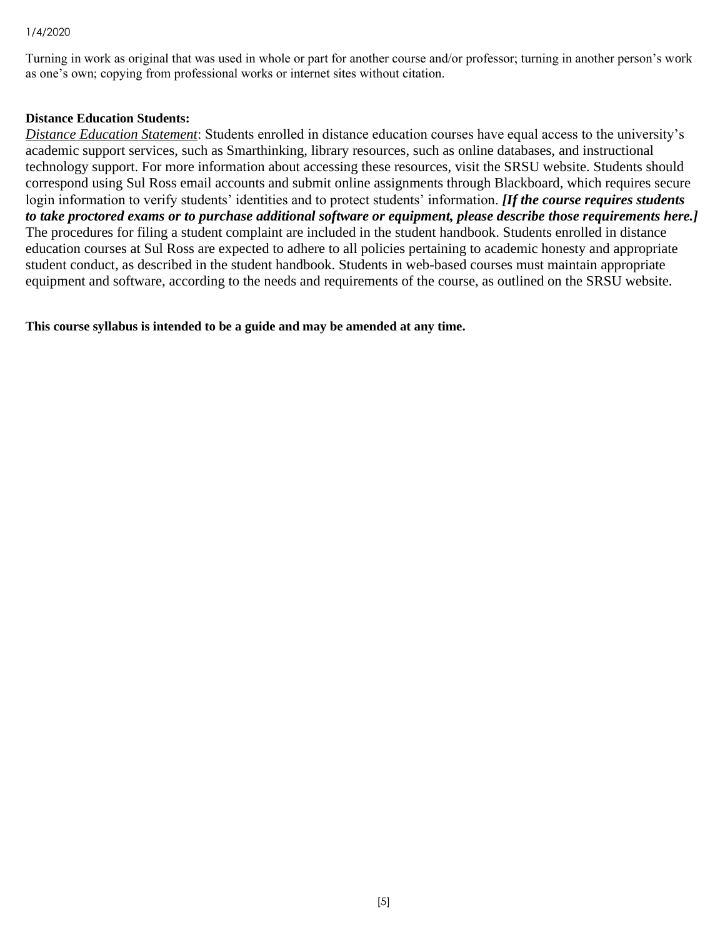Turning in work as original that was used in whole or part for another course and/or professor; turning in another person's work as one's own; copying from professional works or internet sites without citation.

### **Distance Education Students:**

*Distance Education Statement*: Students enrolled in distance education courses have equal access to the university's academic support services, such as Smarthinking, library resources, such as online databases, and instructional technology support. For more information about accessing these resources, visit the SRSU website. Students should correspond using Sul Ross email accounts and submit online assignments through Blackboard, which requires secure login information to verify students' identities and to protect students' information. *[If the course requires students to take proctored exams or to purchase additional software or equipment, please describe those requirements here.]* The procedures for filing a student complaint are included in the student handbook. Students enrolled in distance education courses at Sul Ross are expected to adhere to all policies pertaining to academic honesty and appropriate student conduct, as described in the student handbook. Students in web-based courses must maintain appropriate equipment and software, according to the needs and requirements of the course, as outlined on the SRSU website.

**This course syllabus is intended to be a guide and may be amended at any time.**